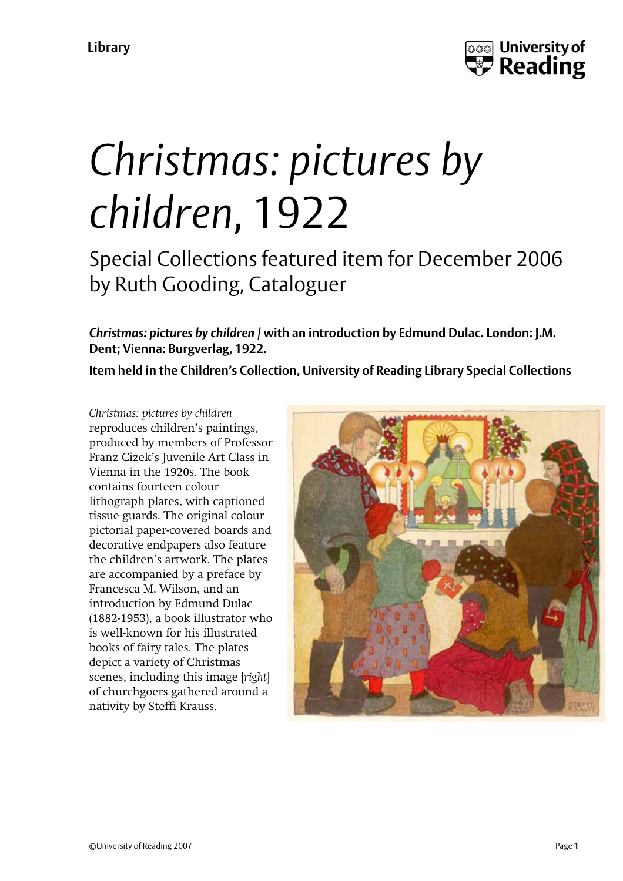

## *Christmas: pictures by children*, 1922

Special Collections featured item for December 2006 by Ruth Gooding, Cataloguer

*Christmas: pictures by children* **/ with an introduction by Edmund Dulac. London: J.M. Dent; Vienna: Burgverlag, 1922.** 

**Item held in the Children's Collection, University of Reading Library Special Collections** 

*Christmas: pictures by children* reproduces children's paintings, produced by members of Professor Franz Cizek's Juvenile Art Class in Vienna in the 1920s. The book contains fourteen colour lithograph plates, with captioned tissue guards. The original colour pictorial paper-covered boards and decorative endpapers also feature the children's artwork. The plates are accompanied by a preface by Francesca M. Wilson, and an introduction by Edmund Dulac (1882-1953), a book illustrator who is well-known for his illustrated books of fairy tales. The plates depict a variety of Christmas scenes, including this image [*right*] of churchgoers gathered around a nativity by Steffi Krauss.

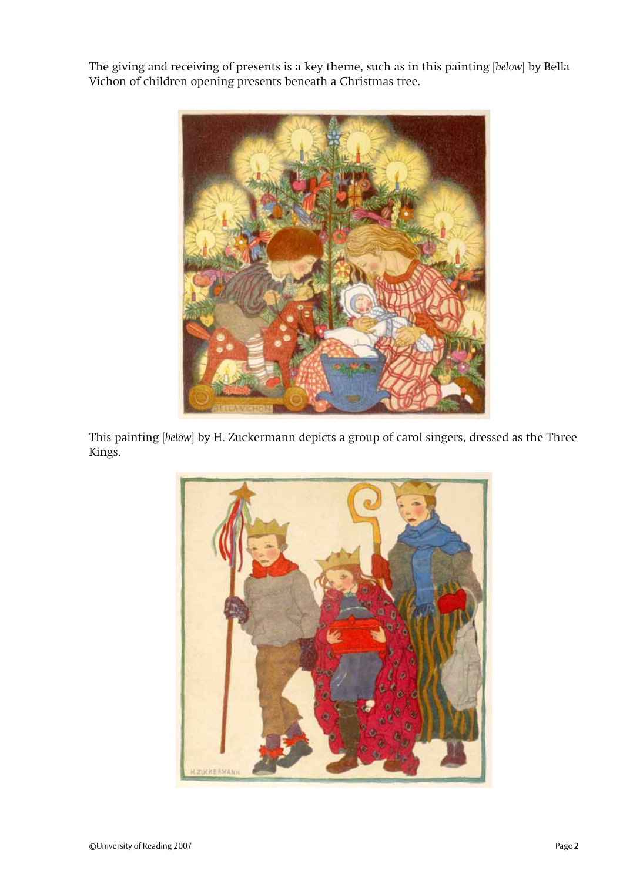The giving and receiving of presents is a key theme, such as in this painting [*below*] by Bella Vichon of children opening presents beneath a Christmas tree.



This painting [*below*] by H. Zuckermann depicts a group of carol singers, dressed as the Three Kings.

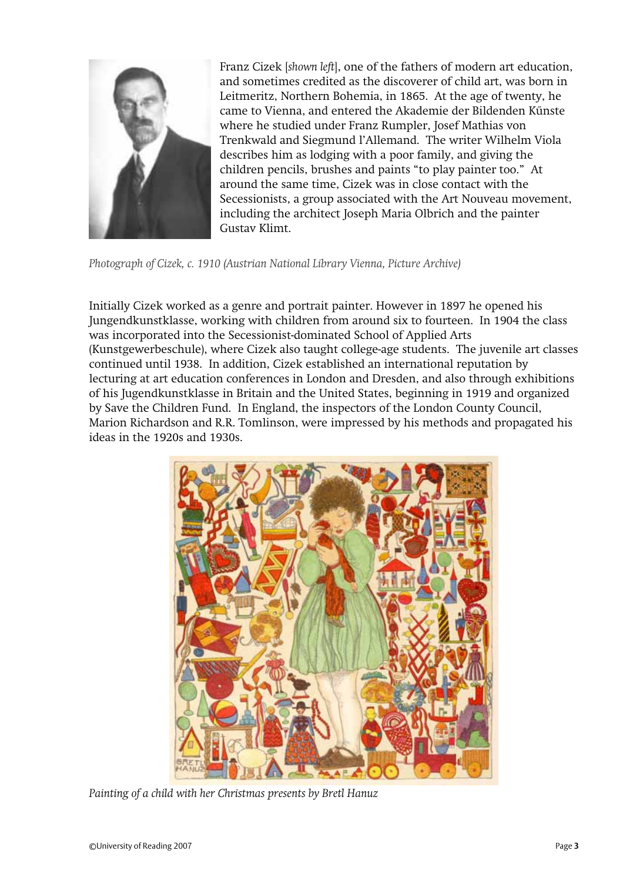

Franz Cizek [*shown left*], one of the fathers of modern art education, and sometimes credited as the discoverer of child art, was born in Leitmeritz, Northern Bohemia, in 1865. At the age of twenty, he came to Vienna, and entered the Akademie der Bildenden Kűnste where he studied under Franz Rumpler, Josef Mathias von Trenkwald and Siegmund l'Allemand. The writer Wilhelm Viola describes him as lodging with a poor family, and giving the children pencils, brushes and paints "to play painter too." At around the same time, Cizek was in close contact with the Secessionists, a group associated with the Art Nouveau movement, including the architect Joseph Maria Olbrich and the painter Gustav Klimt.

*Photograph of Cizek, c. 1910 (Austrian National Library Vienna, Picture Archive)* 

Initially Cizek worked as a genre and portrait painter. However in 1897 he opened his Jungendkunstklasse, working with children from around six to fourteen. In 1904 the class was incorporated into the Secessionist-dominated School of Applied Arts (Kunstgewerbeschule), where Cizek also taught college-age students. The juvenile art classes continued until 1938. In addition, Cizek established an international reputation by lecturing at art education conferences in London and Dresden, and also through exhibitions of his Jugendkunstklasse in Britain and the United States, beginning in 1919 and organized by Save the Children Fund. In England, the inspectors of the London County Council, Marion Richardson and R.R. Tomlinson, were impressed by his methods and propagated his ideas in the 1920s and 1930s.



*Painting of a child with her Christmas presents by Bretl Hanuz*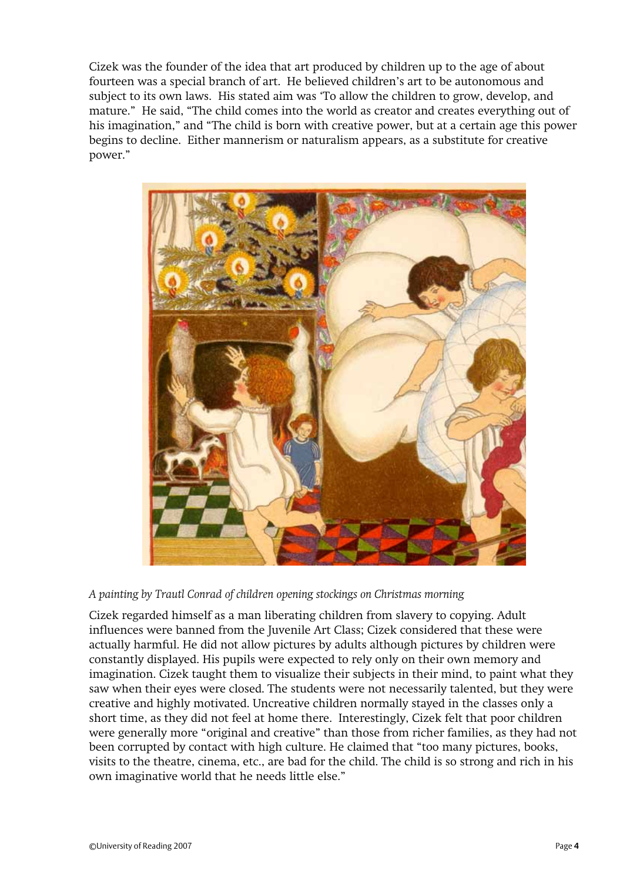Cizek was the founder of the idea that art produced by children up to the age of about fourteen was a special branch of art. He believed children's art to be autonomous and subject to its own laws. His stated aim was 'To allow the children to grow, develop, and mature." He said, "The child comes into the world as creator and creates everything out of his imagination," and "The child is born with creative power, but at a certain age this power begins to decline. Either mannerism or naturalism appears, as a substitute for creative power."



*A painting by Trautl Conrad of children opening stockings on Christmas morning* 

Cizek regarded himself as a man liberating children from slavery to copying. Adult influences were banned from the Juvenile Art Class; Cizek considered that these were actually harmful. He did not allow pictures by adults although pictures by children were constantly displayed. His pupils were expected to rely only on their own memory and imagination. Cizek taught them to visualize their subjects in their mind, to paint what they saw when their eyes were closed. The students were not necessarily talented, but they were creative and highly motivated. Uncreative children normally stayed in the classes only a short time, as they did not feel at home there. Interestingly, Cizek felt that poor children were generally more "original and creative" than those from richer families, as they had not been corrupted by contact with high culture. He claimed that "too many pictures, books, visits to the theatre, cinema, etc., are bad for the child. The child is so strong and rich in his own imaginative world that he needs little else."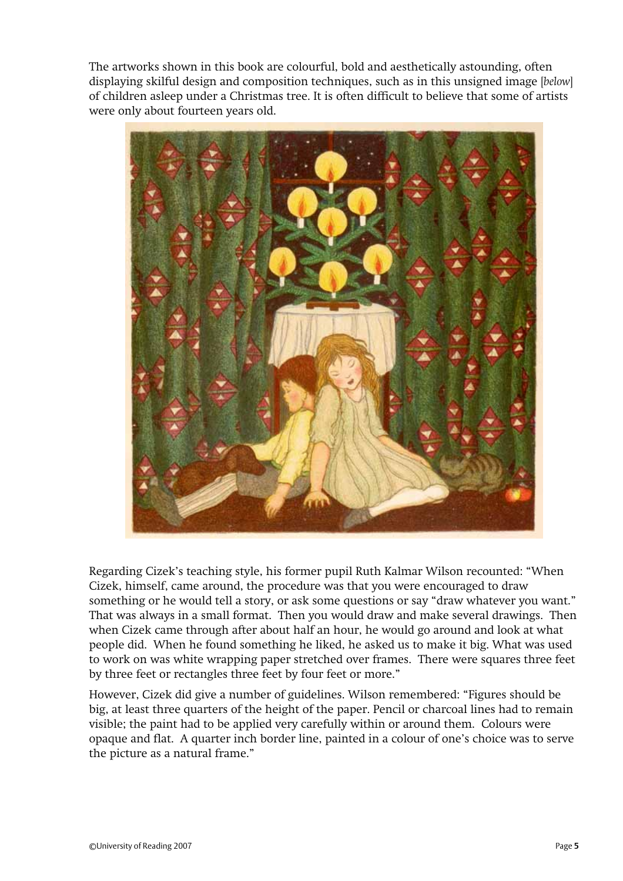The artworks shown in this book are colourful, bold and aesthetically astounding, often displaying skilful design and composition techniques, such as in this unsigned image [*below*] of children asleep under a Christmas tree. It is often difficult to believe that some of artists were only about fourteen years old.



Regarding Cizek's teaching style, his former pupil Ruth Kalmar Wilson recounted: "When Cizek, himself, came around, the procedure was that you were encouraged to draw something or he would tell a story, or ask some questions or say "draw whatever you want." That was always in a small format. Then you would draw and make several drawings. Then when Cizek came through after about half an hour, he would go around and look at what people did. When he found something he liked, he asked us to make it big. What was used to work on was white wrapping paper stretched over frames. There were squares three feet by three feet or rectangles three feet by four feet or more."

However, Cizek did give a number of guidelines. Wilson remembered: "Figures should be big, at least three quarters of the height of the paper. Pencil or charcoal lines had to remain visible; the paint had to be applied very carefully within or around them. Colours were opaque and flat. A quarter inch border line, painted in a colour of one's choice was to serve the picture as a natural frame."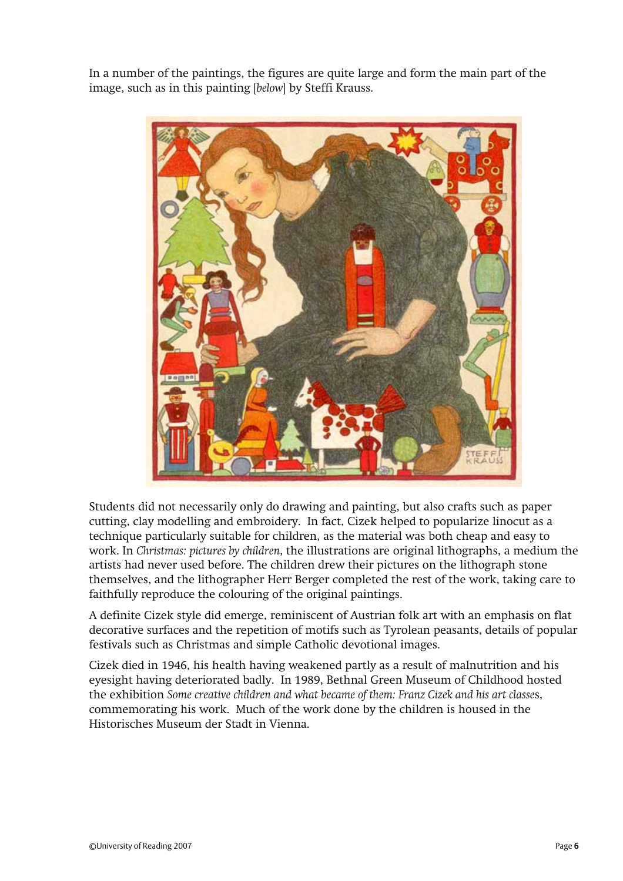In a number of the paintings, the figures are quite large and form the main part of the image, such as in this painting [*below*] by Steffi Krauss.



Students did not necessarily only do drawing and painting, but also crafts such as paper cutting, clay modelling and embroidery. In fact, Cizek helped to popularize linocut as a technique particularly suitable for children, as the material was both cheap and easy to work. In *Christmas: pictures by children*, the illustrations are original lithographs, a medium the artists had never used before. The children drew their pictures on the lithograph stone themselves, and the lithographer Herr Berger completed the rest of the work, taking care to faithfully reproduce the colouring of the original paintings.

A definite Cizek style did emerge, reminiscent of Austrian folk art with an emphasis on flat decorative surfaces and the repetition of motifs such as Tyrolean peasants, details of popular festivals such as Christmas and simple Catholic devotional images.

Cizek died in 1946, his health having weakened partly as a result of malnutrition and his eyesight having deteriorated badly. In 1989, Bethnal Green Museum of Childhood hosted the exhibition *Some creative children and what became of them: Franz Cizek and his art classe*s, commemorating his work. Much of the work done by the children is housed in the Historisches Museum der Stadt in Vienna.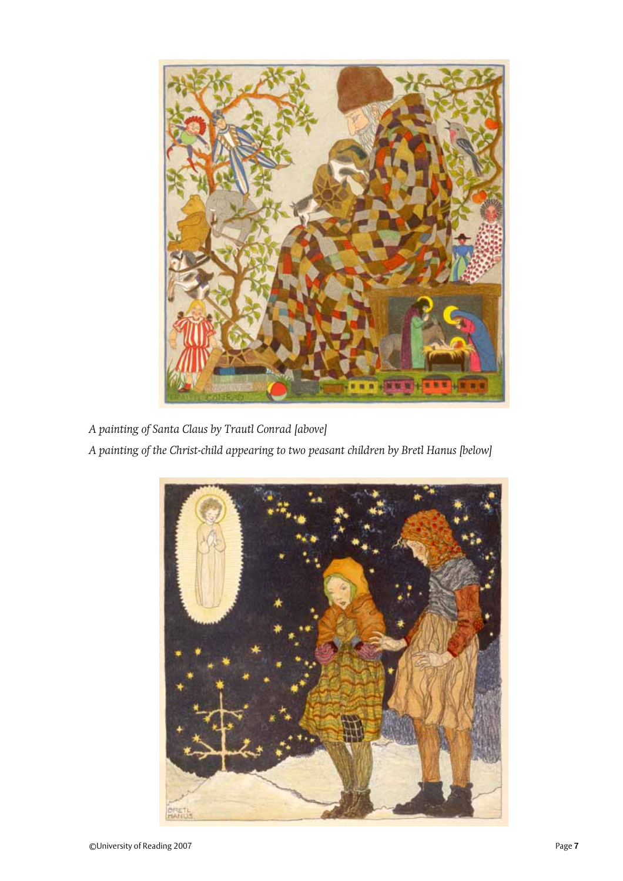

*A painting of Santa Claus by Trautl Conrad [above]* 

*A painting of the Christ-child appearing to two peasant children by Bretl Hanus [below]*